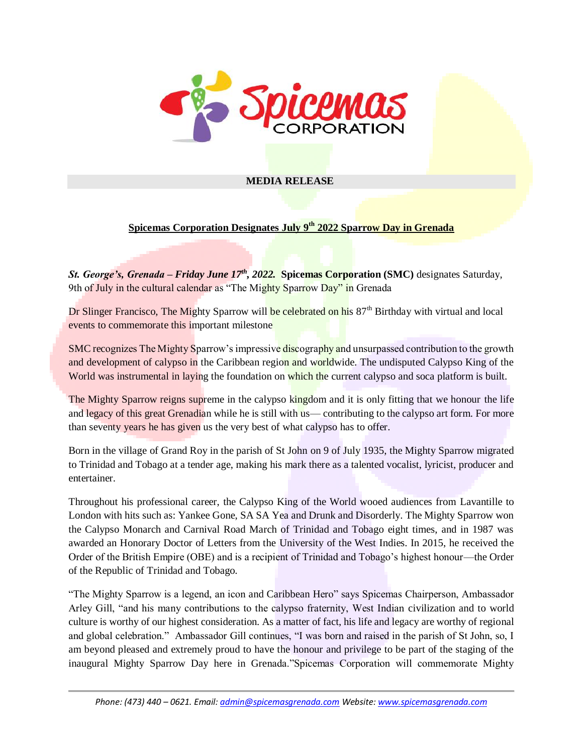

## **MEDIA RELEASE**

## **Spicemas Corporation Designates July 9th 2022 Sparrow Day in Grenada**

*St. George's, Grenada – Friday June 17th, 2022.* **Spicemas Corporation (SMC)** designates Saturday, 9th of July in the cultural calendar as "The Mighty Sparrow Day" in Grenada

Dr Slinger Francisco, The Mighty Sparrow will be celebrated on his 87<sup>th</sup> Birthday with virtual and local events to commemorate this important milestone

SMC recognizes The Mighty Sparrow's impressive discography and unsurpassed contribution to the growth and development of calypso in the Caribbean region and worldwide. The undisputed Calypso King of the World was instrumental in laying the foundation on which the current calypso and soca platform is built.

The Mighty Sparrow reigns supreme in the calypso kingdom and it is only fitting that we honour the life and legacy of this great Grenadian while he is still with us— contributing to the calypso art form. For more than seventy years he has given us the very best of what calypso has to offer.

Born in the village of Grand Roy in the parish of St John on 9 of July 1935, the Mighty Sparrow migrated to Trinidad and Tobago at a tender age, making his mark there as a talented vocalist, lyricist, producer and entertainer.

Throughout his professional career, the Calypso King of the World wooed audiences from Lavantille to London with hits such as: Yankee Gone, SA SA Yea and Drunk and Disorderly. The Mighty Sparrow won the Calypso Monarch and Carnival Road March of Trinidad and Tobago eight times, and in 1987 was awarded an Honorary Doctor of Letters from the University of the West Indies. In 2015, he received the Order of the British Empire (OBE) and is a recipient of Trinidad and Tobago's highest honour—the Order of the Republic of Trinidad and Tobago.

"The Mighty Sparrow is a legend, an icon and Caribbean Hero" says Spicemas Chairperson, Ambassador Arley Gill, "and his many contributions to the calypso fraternity, West Indian civilization and to world culture is worthy of our highest consideration. As a matter of fact, his life and legacy are worthy of regional and global celebration." Ambassador Gill continues, "I was born and raised in the parish of St John, so, I am beyond pleased and extremely proud to have the honour and privilege to be part of the staging of the inaugural Mighty Sparrow Day here in Grenada."Spicemas Corporation will commemorate Mighty